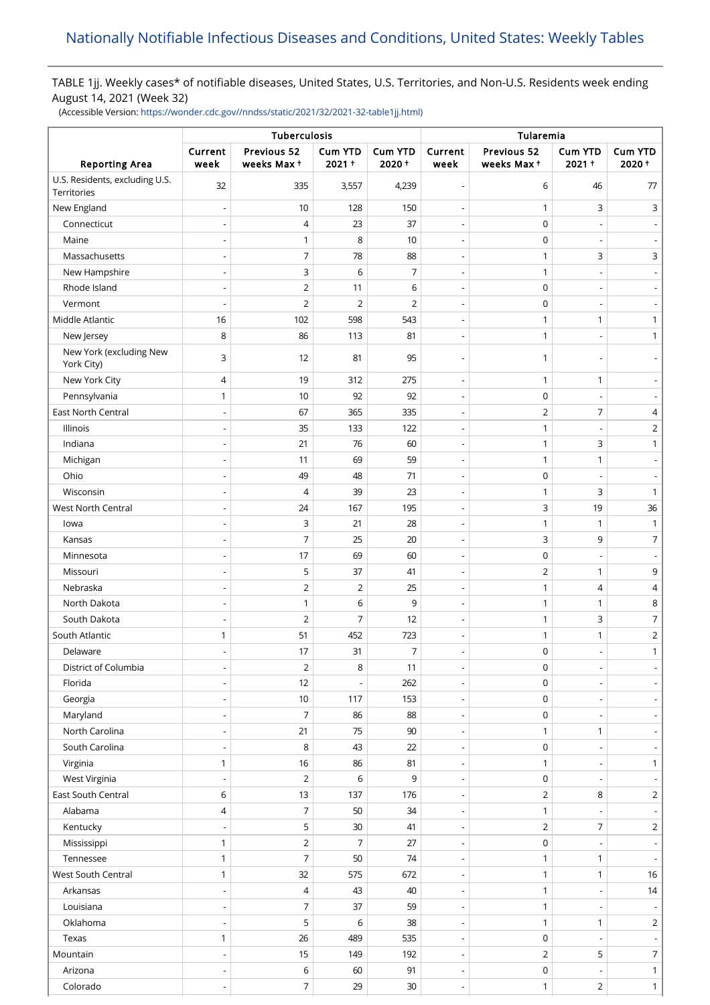# TABLE 1jj. Weekly cases\* of notifiable diseases, United States, U.S. Territories, and Non-U.S. Residents week ending August 14, 2021 (Week 32)

(Accessible Version: [https://wonder.cdc.gov//nndss/static/2021/32/2021-32-table1jj.html\)](https://wonder.cdc.gov//nndss/static/2021/32/2021-32-table1jj.html)

|                                               | Tuberculosis                 |                           |                  |                         | Tularemia                |                           |                          |                          |
|-----------------------------------------------|------------------------------|---------------------------|------------------|-------------------------|--------------------------|---------------------------|--------------------------|--------------------------|
| <b>Reporting Area</b>                         | Current<br>week              | Previous 52<br>weeks Max+ | Cum YTD<br>2021+ | <b>Cum YTD</b><br>2020+ | Current<br>week          | Previous 52<br>weeks Max+ | Cum YTD<br>2021+         | <b>Cum YTD</b><br>2020+  |
| U.S. Residents, excluding U.S.<br>Territories | 32                           | 335                       | 3,557            | 4,239                   | $\overline{a}$           | 6                         | 46                       | 77                       |
| New England                                   |                              | 10                        | 128              | 150                     | $\overline{\phantom{a}}$ | $\mathbf{1}$              | 3                        | 3                        |
| Connecticut                                   |                              | 4                         | 23               | 37                      | $\overline{\phantom{a}}$ | 0                         |                          |                          |
| Maine                                         | $\overline{a}$               | $\mathbf{1}$              | 8                | 10                      | $\overline{\phantom{a}}$ | $\mathbf 0$               |                          |                          |
| Massachusetts                                 | $\overline{a}$               | 7                         | 78               | 88                      | $\overline{\phantom{a}}$ | $\mathbf{1}$              | 3                        | 3                        |
| New Hampshire                                 |                              | 3                         | 6                | $\overline{7}$          | $\overline{\phantom{a}}$ | $\mathbf{1}$              |                          |                          |
| Rhode Island                                  |                              | $\overline{2}$            | 11               | 6                       | ÷,                       | $\mathbf 0$               |                          |                          |
| Vermont                                       | $\overline{a}$               | $\mathbf 2$               | $\overline{2}$   | $\overline{2}$          | $\overline{\phantom{a}}$ | $\mathsf 0$               |                          |                          |
| Middle Atlantic                               | 16                           | 102                       | 598              | 543                     | $\overline{\phantom{a}}$ | $\mathbf{1}$              | 1                        | 1                        |
| New Jersey                                    | 8                            | 86                        | 113              | 81                      | $\overline{\phantom{a}}$ | $\mathbf{1}$              |                          | 1                        |
| New York (excluding New                       | 3                            | 12                        | 81               | 95                      | $\overline{\phantom{a}}$ | 1                         |                          |                          |
| York City)                                    |                              |                           |                  |                         |                          |                           |                          |                          |
| New York City                                 | 4                            | 19                        | 312              | 275                     | $\overline{a}$           | $\mathbf{1}$              | $\mathbf{1}$             |                          |
| Pennsylvania                                  | 1                            | 10                        | 92               | 92                      | $\overline{\phantom{a}}$ | 0                         |                          |                          |
| <b>East North Central</b>                     |                              | 67                        | 365              | 335                     | $\overline{a}$           | $\overline{2}$            | 7                        | 4                        |
| Illinois                                      | $\overline{a}$               | 35                        | 133              | 122                     | $\overline{\phantom{a}}$ | $\mathbf{1}$              | $\overline{\phantom{a}}$ | $\overline{2}$           |
| Indiana                                       | $\overline{a}$               | 21                        | 76               | 60                      | $\overline{\phantom{a}}$ | $\mathbf{1}$              | 3                        | 1                        |
| Michigan                                      |                              | 11                        | 69               | 59                      | $\overline{\phantom{a}}$ | $\mathbf{1}$              | $\mathbf{1}$             |                          |
| Ohio                                          |                              | 49                        | 48               | 71                      | $\overline{a}$           | $\mathbf 0$               |                          |                          |
| Wisconsin                                     |                              | 4                         | 39               | 23                      | $\overline{\phantom{a}}$ | $\mathbf{1}$              | 3                        | $\mathbf{1}$             |
| West North Central                            | $\overline{\phantom{0}}$     | 24                        | 167              | 195                     | $\overline{\phantom{a}}$ | 3                         | 19                       | 36                       |
| lowa                                          |                              | 3                         | 21               | 28                      | Ĭ.                       | $\mathbf{1}$              | $\mathbf{1}$             | $\mathbf{1}$             |
| Kansas                                        |                              | 7                         | 25               | 20                      | $\overline{\phantom{a}}$ | 3                         | 9                        | 7                        |
| Minnesota                                     |                              | 17                        | 69               | 60                      | ł,                       | $\mathsf 0$               |                          |                          |
| Missouri                                      | $\overline{a}$               | 5                         | 37               | 41                      | $\overline{\phantom{a}}$ | $\overline{2}$            | 1                        | 9                        |
| Nebraska                                      |                              | $\overline{2}$            | $\overline{2}$   | 25                      | $\overline{\phantom{a}}$ | $\mathbf{1}$              | $\overline{4}$           | 4                        |
| North Dakota                                  |                              | 1                         | 6                | 9                       | $\overline{\phantom{a}}$ | $\mathbf{1}$              | 1                        | 8                        |
| South Dakota                                  |                              | $\overline{2}$            | 7                | 12                      | $\overline{\phantom{a}}$ | $\mathbf{1}$              | 3                        | $\overline{7}$           |
| South Atlantic                                | 1                            | 51                        | 452              | 723                     | $\overline{\phantom{m}}$ | $\mathbf{1}$              | 1                        | 2                        |
| Delaware                                      | $\overline{\phantom{0}}$     | 17                        | 31               | $\overline{7}$          | $\overline{\phantom{a}}$ | $\mathbf 0$               | $\overline{\phantom{a}}$ | 1                        |
| District of Columbia                          | $\qquad \qquad \blacksquare$ | $\overline{2}$            | 8                | 11                      | $\overline{\phantom{a}}$ | 0                         |                          |                          |
| Florida                                       | $\overline{\phantom{0}}$     | 12                        |                  | 262                     | $\overline{\phantom{a}}$ | $\mathbf 0$               |                          |                          |
| Georgia                                       |                              | 10                        | 117              | 153                     | $\overline{\phantom{m}}$ | 0                         |                          |                          |
| Maryland                                      | $\overline{\phantom{a}}$     | $\overline{7}$            | 86               | 88                      | $\overline{\phantom{a}}$ | $\mathsf 0$               | $\overline{\phantom{a}}$ |                          |
| North Carolina                                |                              | 21                        | 75               | 90                      | $\overline{a}$           | $\mathbf{1}$              | $\mathbf{1}$             |                          |
| South Carolina                                |                              | 8                         | 43               | 22                      | $\overline{\phantom{a}}$ | 0                         |                          |                          |
| Virginia                                      | $\mathbf{1}$                 | 16                        | 86               | 81                      | $\overline{a}$           | $\mathbf{1}$              |                          | $\mathbf{1}$             |
| West Virginia                                 | $\overline{a}$               | 2                         | 6                | 9                       | $\overline{\phantom{a}}$ | $\pmb{0}$                 | $\overline{\phantom{a}}$ |                          |
| East South Central                            | 6                            | 13                        | 137              | 176                     | $\overline{\phantom{a}}$ | $\overline{2}$            | 8                        | $\overline{2}$           |
| Alabama                                       | 4                            | 7                         | 50               | 34                      | $\overline{\phantom{a}}$ | $\mathbf{1}$              |                          | $\overline{\phantom{a}}$ |
| Kentucky                                      |                              | 5                         | 30               | 41                      | $\overline{\phantom{a}}$ | $\overline{2}$            | 7                        | $\overline{2}$           |
| Mississippi                                   | $\mathbf{1}$                 | $\overline{2}$            | $\overline{7}$   | 27                      | $\overline{\phantom{a}}$ | $\mathsf 0$               |                          |                          |
| Tennessee                                     | $\mathbf{1}$                 | 7                         | 50               | 74                      | $\overline{\phantom{a}}$ | $\mathbf{1}$              | $\mathbf{1}$             |                          |
| West South Central                            | 1                            | 32                        | 575              | 672                     | $\overline{\phantom{a}}$ | $\mathbf{1}$              | 1                        | 16                       |
| Arkansas                                      |                              | 4                         | 43               | 40                      | $\overline{\phantom{a}}$ | $\mathbf{1}$              |                          | 14                       |
| Louisiana                                     |                              | 7                         | 37               | 59                      | $\overline{\phantom{m}}$ | $\mathbf{1}$              |                          |                          |
| Oklahoma                                      | $\qquad \qquad \blacksquare$ | 5                         | 6                | 38                      | $\overline{\phantom{a}}$ | $\mathbf{1}$              | 1                        | $\overline{2}$           |
| Texas                                         | 1                            | 26                        | 489              | 535                     | $\overline{\phantom{a}}$ | $\pmb{0}$                 |                          |                          |
| Mountain                                      |                              | 15                        | 149              | 192                     | $\overline{\phantom{a}}$ | $\overline{2}$            | 5                        | $\overline{7}$           |
| Arizona                                       |                              | 6                         | 60               | 91                      | $\overline{a}$           | $\mathsf 0$               |                          | $\mathbf{1}$             |
| Colorado                                      | $\overline{\phantom{0}}$     | 7                         | 29               | 30                      | $\overline{\phantom{a}}$ | $\mathbf{1}$              | $\overline{2}$           | 1                        |